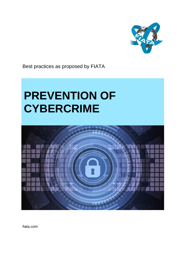

Best practices as proposed by FIATA

# **PREVENTION OF CYBERCRIME**



fiata.com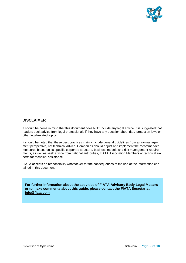

### **DISCLAIMER**

It should be borne in mind that this document does NOT include any legal advice. It is suggested that readers seek advice from legal professionals if they have any question about data-protection laws or other legal-related topics.

It should be noted that these best practices mainly include general guidelines from a risk-management perspective, not technical advice. Companies should adjust and implement the recommended measures based on its specific corporate structure, business models and risk management requirements, as well as seek advice from national authorities, FIATA Association Members or technical experts for technical assistance.

FIATA accepts no responsibility whatsoever for the consequences of the use of the information contained in this document.

**For further information about the activities of FIATA Advisory Body Legal Matters or to make comments about this guide, please contact the FIATA Secretariat [info@fiata.com](mailto:info@fiata.com)**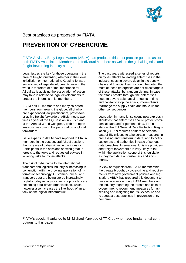

Best practices as proposed by FIATA

# **PREVENTION OF CYBERCRIME**

FIATA Advisory Body Legal Matters (ABLM) has produced this best practice guide to assist both FIATA Association Members and Individual Members as well as the global logistics and freight forwarding industry at large.

Legal issues are key for those operating in the area of freight forwarding whether in their own jurisdiction or internationally. Keeping forwarders advised of legal developments around the world is therefore of prime importance for ABLM as is advising the association of action it may take in relation to legal developments to protect the interests of its members.

ABLM has 12 members and many co-opted members from around the globe, all of whom are experienced law practitioners, professors or active freight forwarders. ABLM meets two times a year at the HQ Session in Zurich and at the Annual World Congress, both are open sessions welcoming the participation of global forwarders.

Issue experts in ABLM have reported to FIATA members in the past several ABLM sessions the increase of cybercrimes in the industry. Participants in the sessions showed great interests to the topic and requested advices in lowering risks for cyber-attacks.

The risk of cybercrime to the international transport and logistics industry is increasing in conjunction with the growing application of information technology. Customer-, price-, and transport-data are being stored increasingly digitally today as logistics service providers are becoming data-driven organisations, which however also increases the likelihood of an attack on the digital infrastructure.

The past years witnessed a series of reports on cyber-attacks to leading enterprises in the industry, causing severe delay in the supply chain and financial loss. It should be noted that most of these enterprises are not direct targets of these attacks, but random victims. In case the attack breaks through, the enterprises need to devote substantial amounts of time and capital to stop the attack, inform clients, rearrange the supply chain and make up for other consequences.

Legislation in many jurisdictions now expressly stipulates that enterprises should protect confidential data and/or personal data. For instance, the EU General Data Protection Regulation (GDPR) requires holders of personal data of EU citizens to take certain measures in processing and transferring data, and to notify customers and authorities in case of serious data breaches. International logistics providers and freight forwarders are very likely to fall within the application scope of this legislation as they hold data on customers and shipments.

In view of requests from FIATA membership, the threats brought by cybercrime and requirements from new government policies and legislation, ABLM has prepared this document to raise awareness among FIATA members and the industry regarding the threats and risks of cybercrime, to recommend measures for assessing and mitigating the risk exposure and to suggest best practices in prevention of cybercrime.

FIATA's special thanks go to Mr Michael Yarwood of TT Club who made fundamental contributions to this paper.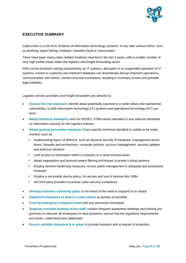

### **EXECUTIVE SUMMARY**

Cybercrime is a risk from of failure of information technology systems. It may take various forms, such as phishing, spear fishing, malware, mandate fraud or ransomware.

There have been many cyber-related incidents reported in the last 5 years, with a smaller number of very high profile cases within the logistics and freight forwarding sector.

With current business relying substantively on IT systems, disruption in or suspended operation of IT systems, breach in customer and shipment database can dramatically disrupt shipment operations, communication with clients, carriers and sub-contractors, resulting in monetary losses and possible legal liabilities.

Logistics service providers and freight forwarders are advised to:

- **Assess the risk exposure**: identify areas potentially exposed to a cyber-attack and operational vulnerability, in both information technology (IT) systems and operational technology (OT) systems
- **Adopt technical standards** such as ISO/IEC 27000-series standard or any national standards on information security for the logistics industry
- **Adopt general prevention measures** if any specific technical standard is unable to be implemented, such as:
	- $\checkmark$  Implementing layers of defence, such as physical security of hardware, management procedures, firewalls and architecture, computer policies, account management, security updates and antivirus solutions
	- $\checkmark$  Limit access to information within a company to a need-to-know basis
	- $\checkmark$  Adopt segregation and protocol-aware filtering techniques to protect critical systems
	- $\checkmark$  Employ network hardening measures, ensure patch management is adequate and proactively reviewed
	- $\checkmark$  Employ a removable device policy, for access and use of devices like USBs
	- $\checkmark$  Vet third party providers to ensure cyber security compliance
- **Develop business continuity plans** in the event of the need to respond to an attack
- **Implement measures to detect a cyber-attack** as quickly as possible
- **Form an emergency response team** with key personnel nominated
- **Organize constant training of the staff**: conduct frequent awareness briefings and training programmes to educate all employees on best practices, ensure that the regulatory requirements are known, understood and addressed
- **Ensure suitable insurance is in place** to provide business with a degree of protection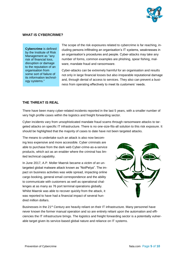

#### **WHAT IS CYBERCRIME?**

**Cybercrime** is defined by the Institute of Risk Management as "any risk of financial loss, disruption or damage to the reputation of an organisation from some sort of failure of its information technology systems."

The scope of the risk exposures related to cybercrime is far reaching, including persons infiltrating an organisation's IT systems, weaknesses in an organisation's procedures and people. Cyber-attacks may take any number of forms, common examples are phishing, spear fishing, malware, mandate fraud and ransomware.

Cyber-attacks can be extremely harmful for an organisation and results not only in large financial losses but also irreparable reputational damage and, through denial of access to services. They also can prevent a business from operating effectively to meet its customers' needs.

#### **THE THREAT IS REAL**

There have been many cyber-related incidents reported in the last 5 years, with a smaller number of very high profile cases within the logistics and freight forwarding sector.

Cyber incidents vary from unsophisticated mandate fraud scams through ransomware attacks to targeted attacks on specific IT infrastructure. There is no one-size-fits-all solution to this risk exposure. It should be highlighted that the majority of cases to date have not been targeted attacks.

The means to undertake such an attack is also now becoming less expensive and more accessible. Cyber criminals are able to purchase from the dark web Cyber-crime-as-a-service products, which act as an enabler where the criminal has limited technical capability.

In June 2017, A.P. Moller Maersk became a victim of an untargeted global malware attack known as "NotPetya". The impact on business activities was wide spread, impacting online cargo booking, general email correspondence and the ability to communicate with customers as well as operational challenges at as many as 76 port terminal operations globally. Whilst Maersk was able to recover quickly from the attack, it was reported to have had a financial impact of several hundred million dollars.



Businesses in the 21<sup>st</sup> Century are heavily reliant on their IT infrastructure. Many personnel have never known the former manual operation and so are entirely reliant upon the automation and efficiencies the IT infrastructure brings. The logistics and freight forwarding sector is a potentially vulnerable target given its service-based global nature and reliance on IT systems.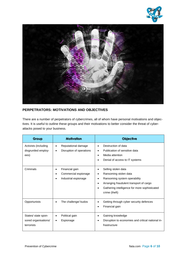



### **PERPETRATORS: MOTIVATIONS AND OBJECTIVES**

There are a number of perpetrators of cybercrimes, all of whom have personal motivations and objectives. It is useful to outline these groups and their motivations to better consider the threat of cyberattacks posed to your business.

| Group                                                     | <b>Motivation</b>                                              | <b>Objective</b>                                                                                                                                                                               |
|-----------------------------------------------------------|----------------------------------------------------------------|------------------------------------------------------------------------------------------------------------------------------------------------------------------------------------------------|
| Activists (including<br>disgruntled employ-<br>ees)       | Reputational damage<br>Disruption of operations<br>$\bullet$   | Destruction of data<br>Publication of sensitive data<br>٠<br>Media attention<br>Denial of access to IT systems                                                                                 |
| Criminals                                                 | Financial gain<br>Commercial espionage<br>Industrial espionage | Selling stolen data<br>Ransoming stolen data<br>٠<br>Ransoming system operability<br>Arranging fraudulent transport of cargo<br>Gathering intelligence for more sophisticated<br>crime (theft) |
| Opportunists                                              | The challenge/ kudos                                           | Getting through cyber security defences<br>Financial gain                                                                                                                                      |
| States/ state spon-<br>sored organisations/<br>terrorists | Political gain<br>Espionage                                    | Gaining knowledge<br>Disruption to economies and critical national in-<br>frastructure                                                                                                         |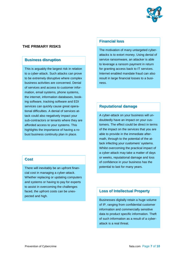

### **THE PRIMARY RISKS**

### **Business disruption**

This is arguably the largest risk in relation to a cyber-attack. Such attacks can prove to be extremely disruptive where complex business activities are concerned. Denial of services and access to customer information, email systems, phone systems, the internet, information databases, booking software, tracking software and EDI services can quickly cause great operational difficulties. A denial of services attack could also negatively impact your sub-contractors or tenants where they are afforded access to your systems. This highlights the importance of having a robust business continuity plan in place.

## **Costs Cost**

There will inevitably be an upfront financial cost in managing a cyber-attack. Whether replacing or updating computers and systems or having to pay for experts to assist in overcoming the challenges faced, the upfront costs can be unexpected and high.

# **Financial loss Financial loss**

The motivation of many untargeted cyberattacks is to extort money. Using denial of service ransomware, an attacker is able to leverage a ransom payment in return for granting access back to IT services. Internet enabled mandate fraud can also result in large financial losses to a business.

# **Reputational damage Reputational damage**

A cyber-attack on your business will undoubtedly have an impact on your customers. The effect could be direct in terms of the impact on the services that you are able to provide in the immediate aftermath, through to the potential of the attack infecting your customers' systems. Whilst overcoming the practical impact of a cyber-attack may take a matter of days or weeks, reputational damage and loss of confidence in your business has the potential to last for many years.

### **Loss of Intellectual Property**

Businesses digitally retain a huge volume of IP, ranging from confidential customer information and commercially sensitive data to product specific information. Theft of such information as a result of a cyberattack is a real threat.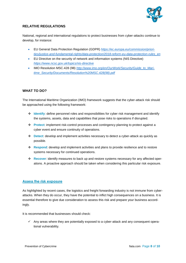

### **RELATIVE REGULATIONS**

National, regional and international regulations to protect businesses from cyber-attacks continue to develop, for instance:

- EU General Data Protection Regulation (GDPR) *[https://ec.europa.eu/commission/priori](https://ec.europa.eu/commission/priorities/justice-and-fundamental-rights/data-protection/2018-reform-eu-data-protection-rules_en)[ties/justice-and-fundamental-rights/data-protection/2018-reform-eu-data-protection-rules\\_en](https://ec.europa.eu/commission/priorities/justice-and-fundamental-rights/data-protection/2018-reform-eu-data-protection-rules_en)*
- EU Directive on the security of network and information systems (NIS Directive) *<https://www.ncsc.gov.uk/topics/nis-directive>*
- IMO Resolution MSC.428 (98) [http://www.imo.org/en/OurWork/Security/Guide\\_to\\_Mari](http://www.imo.org/en/OurWork/Security/Guide_to_Maritime_Security/Documents/Resolution%20MSC.428(98).pdf)*[time\\_Security/Documents/Resolution%20MSC.428\(98\).pdf](http://www.imo.org/en/OurWork/Security/Guide_to_Maritime_Security/Documents/Resolution%20MSC.428(98).pdf)*

### **WHAT TO DO?**

The International Maritime Organization (IMO) framework suggests that the cyber-attack risk should be approached using the following framework:

- **↑** Identify: define personnel roles and responsibilities for cyber risk management and identify the systems, assets, data and capabilities that pose risks to operations if disrupted.
- **Protect**: implement risk-control processes and contingency planning to protect against a cyber event and ensure continuity of operations.
- **Detect**: develop and implement activities necessary to detect a cyber-attack as quickly as possible.
- **Respond**: develop and implement activities and plans to provide resilience and to restore systems necessary for continued operations.
- **Recover**: identify measures to back up and restore systems necessary for any affected operations. A proactive approach should be taken when considering this particular risk exposure.

### **Assess the risk exposure**

As highlighted by recent cases, the logistics and freight forwarding industry is not immune from cyberattacks. When they do occur, they have the potential to inflict high consequences on a business. It is essential therefore to give due consideration to assess this risk and prepare your business accordingly.

It is recommended that businesses should check:

 $\checkmark$  Any areas where they are potentially exposed to a cyber-attack and any consequent operational vulnerability.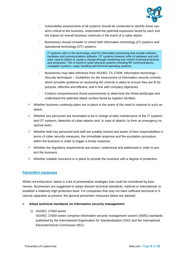

- Vulnerability assessments of all systems should be conducted to identify those systems critical to the business, understand the potential exposures faced by each and the impact on overall business continuity in the event of a cyber-attack.
- Businesses should consider to check both information technology (IT) systems and operational technology (OT) systems.

IT systems refer to the technology used for information processing that include software, hardware and communications software. OT systems however refer to hardware and software used to detect or cause a change through monitoring and control of physical devices and processes. This is found in cyber-physical systems including RF communications, navigation systems, cargo handling and terminal operating systems.

- Businesses may take reference from ISO/IEC TS 27008, *Information technology – Security techniques – Guidelines for the assessment of information security controls*, which provides guidance on assessing the controls in place to ensure they are fit for purpose, effective and efficient, and in line with company objectives.
- Conduct comprehensive threat assessments to determine the threat landscape and understand the potential attack surface faced by logistics facilities.
- $\checkmark$  Whether business continuity plans are in place in the event of the need to respond to such an attack.
- $\checkmark$  Whether key personnel are nominated to be in charge of daily maintenance of the IT systems and OT systems, detection of cyber-attacks and, in case of attacks, to form an emergency response team.
- $\checkmark$  Whether both key personnel and staff are suitably trained and aware of their responsibilities in terms of cyber security measures, the immediate response and the escalation procedure within the business in order to trigger a timely response.
- $\checkmark$  Whether the regulatory requirements are known, understood and addressed in order to protect the business.
- $\checkmark$  Whether suitable insurance is in place to provide the business with a degree of protection.

### **Prevention measures**

Whilst not exhaustive, below is a list of preventative strategies that could be considered by businesses. Businesses are suggested to adopt relevant technical standards, national or international, to establish a relatively high protection level. For companies that may not have sufficient technical or financial capacities at present, the general prevention measures below are advised.

- **Adopt technical standards on information security management:**
	- 1) ISO/IEC 27000-series

ISO/IEC 27000-series comprise information security management system (ISMS) standards published by the International Organisation for Standardisation (ISO) and the International Electrotechnical Commission (IEC).